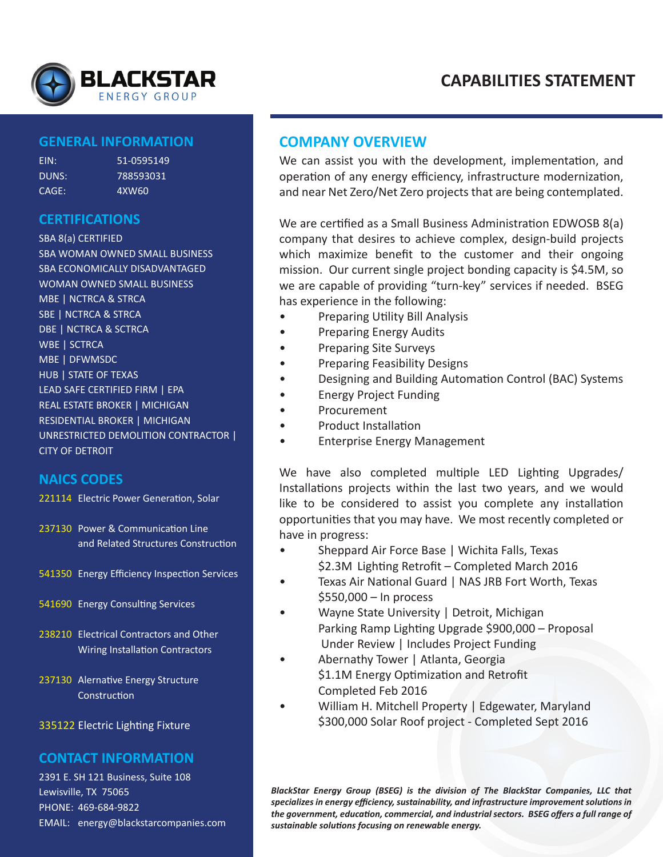

# **CAPABILITIES STATEMENT**

### **GENERAL INFORMATION**

| FIN:  | 51-0595149 |
|-------|------------|
| DUNS: | 788593031  |
| CAGE: | 4XW60      |

# **CERTIFICATIONS**

SBA 8(a) CERTIFIED SBA WOMAN OWNED SMALL BUSINESS SBA ECONOMICALLY DISADVANTAGED WOMAN OWNED SMALL BUSINESS MBE | NCTRCA & STRCA SBE | NCTRCA & STRCA DBE | NCTRCA & SCTRCA WBE | SCTRCA MBE | DFWMSDC HUB | STATE OF TEXAS LEAD SAFE CERTIFIED FIRM | EPA REAL ESTATE BROKER | MICHIGAN RESIDENTIAL BROKER | MICHIGAN UNRESTRICTED DEMOLITION CONTRACTOR | CITY OF DETROIT

### **NAICS CODES**

- 221114 Electric Power Generation, Solar
- 237130 Power & Communication Line and Related Structures Construction
- 541350 Energy Efficiency Inspection Services
- 541690 Energy Consulting Services
- 238210 Electrical Contractors and Other Wiring Installation Contractors
- 237130 Alernative Energy Structure **Construction**

### 335122 Electric Lighting Fixture

## **CONTACT INFORMATION**

2391 E. SH 121 Business, Suite 108 Lewisville, TX 75065 PHONE: 469-684-9822 EMAIL: energy@blackstarcompanies.com

### **COMPANY OVERVIEW**

We can assist you with the development, implementation, and operation of any energy efficiency, infrastructure modernization, and near Net Zero/Net Zero projects that are being contemplated.

We are certified as a Small Business Administration EDWOSB 8(a) company that desires to achieve complex, design-build projects which maximize benefit to the customer and their ongoing mission. Our current single project bonding capacity is \$4.5M, so we are capable of providing "turn-key" services if needed. BSEG has experience in the following:

- Preparing Utility Bill Analysis
- Preparing Energy Audits
- Preparing Site Surveys
- Preparing Feasibility Designs
- Designing and Building Automation Control (BAC) Systems
- Energy Project Funding
- Procurement
- Product Installation
- Enterprise Energy Management

We have also completed multiple LED Lighting Upgrades/ Installations projects within the last two years, and we would like to be considered to assist you complete any installation opportunities that you may have. We most recently completed or have in progress:

- Sheppard Air Force Base | Wichita Falls, Texas \$2.3M Lighting Retrofit – Completed March 2016
- Texas Air National Guard | NAS JRB Fort Worth, Texas \$550,000 – In process
- Wayne State University | Detroit, Michigan Parking Ramp Lighting Upgrade \$900,000 – Proposal Under Review | Includes Project Funding
- Abernathy Tower | Atlanta, Georgia \$1.1M Energy Optimization and Retrofit Completed Feb 2016
- William H. Mitchell Property | Edgewater, Maryland \$300,000 Solar Roof project - Completed Sept 2016

*BlackStar Energy Group (BSEG) is the division of The BlackStar Companies, LLC that specializes in energy efficiency, sustainability, and infrastructure improvement solutions in the government, education, commercial, and industrial sectors. BSEG offers a full range of sustainable solutions focusing on renewable energy.*